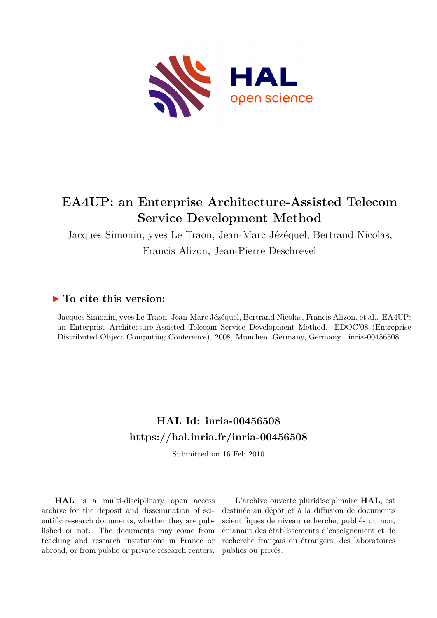

# **EA4UP: an Enterprise Architecture-Assisted Telecom Service Development Method**

Jacques Simonin, yves Le Traon, Jean-Marc Jézéquel, Bertrand Nicolas,

Francis Alizon, Jean-Pierre Deschrevel

# **To cite this version:**

Jacques Simonin, yves Le Traon, Jean-Marc Jézéquel, Bertrand Nicolas, Francis Alizon, et al.. EA4UP: an Enterprise Architecture-Assisted Telecom Service Development Method. EDOC'08 (Entreprise Distributed Object Computing Conference), 2008, Munchen, Germany, Germany. inria-00456508

# **HAL Id: inria-00456508 <https://hal.inria.fr/inria-00456508>**

Submitted on 16 Feb 2010

**HAL** is a multi-disciplinary open access archive for the deposit and dissemination of scientific research documents, whether they are published or not. The documents may come from teaching and research institutions in France or abroad, or from public or private research centers.

L'archive ouverte pluridisciplinaire **HAL**, est destinée au dépôt et à la diffusion de documents scientifiques de niveau recherche, publiés ou non, émanant des établissements d'enseignement et de recherche français ou étrangers, des laboratoires publics ou privés.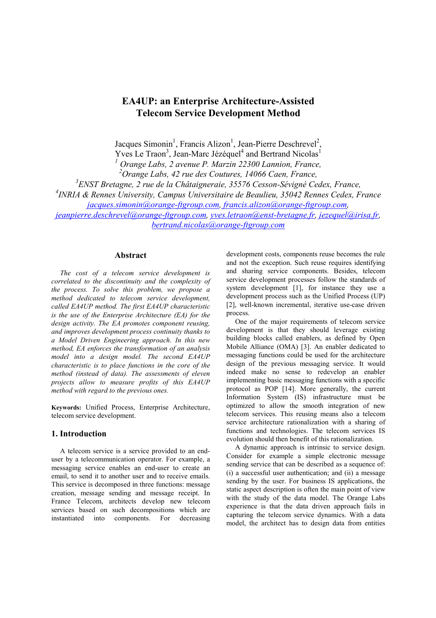# EA4UP: an Enterprise Architecture-Assisted Telecom Service Development Method

Jacques Simonin<sup>1</sup>, Francis Alizon<sup>1</sup>, Jean-Pierre Deschrevel<sup>2</sup>,

Yves Le Traon<sup>3</sup>, Jean-Marc Jézéquel<sup>4</sup> and Bertrand Nicolas<sup>1</sup>

 $1$  Orange Labs, 2 avenue P. Marzin 22300 Lannion, France,

 $^{2}$ Orange Labs, 42 rue des Coutures, 14066 Caen, France,

<sup>3</sup>ENST Bretagne, 2 rue de la Châtaigneraie, 35576 Cesson-Sévigné Cedex, France,

<sup>4</sup>INRIA & Rennes University, Campus Universitaire de Beaulieu, 35042 Rennes Cedex, France

jacques.simonin@orange-ftgroup.com, francis.alizon@orange-ftgroup.com,

jeanpierre.deschrevel@orange-ftgroup.com, yves.letraon@enst-bretagne.fr, jezequel@irisa.fr, bertrand.nicolas@orange-ftgroup.com

# Abstract

The cost of a telecom service development is correlated to the discontinuity and the complexity of the process. To solve this problem, we propose a method dedicated to telecom service development, called EA4UP method. The first EA4UP characteristic is the use of the Enterprise Architecture (EA) for the design activity. The EA promotes component reusing, and improves development process continuity thanks to a Model Driven Engineering approach. In this new method, EA enforces the transformation of an analysis model into a design model. The second EA4UP characteristic is to place functions in the core of the method (instead of data). The assessments of eleven projects allow to measure profits of this EA4UP method with regard to the previous ones.

Keywords: Unified Process, Enterprise Architecture, telecom service development.

# 1. Introduction

A telecom service is a service provided to an enduser by a telecommunication operator. For example, a messaging service enables an end-user to create an email, to send it to another user and to receive emails. This service is decomposed in three functions: message creation, message sending and message receipt. In France Telecom, architects develop new telecom services based on such decompositions which are instantiated into components. For decreasing

development costs, components reuse becomes the rule and not the exception. Such reuse requires identifying and sharing service components. Besides, telecom service development processes follow the standards of system development [1], for instance they use a development process such as the Unified Process (UP) [2], well-known incremental, iterative use-case driven process.

One of the major requirements of telecom service development is that they should leverage existing building blocks called enablers, as defined by Open Mobile Alliance (OMA) [3]. An enabler dedicated to messaging functions could be used for the architecture design of the previous messaging service. It would indeed make no sense to redevelop an enabler implementing basic messaging functions with a specific protocol as POP [14]. More generally, the current Information System (IS) infrastructure must be optimized to allow the smooth integration of new telecom services. This reusing means also a telecom service architecture rationalization with a sharing of functions and technologies. The telecom services IS evolution should then benefit of this rationalization.

A dynamic approach is intrinsic to service design. Consider for example a simple electronic message sending service that can be described as a sequence of: (i) a successful user authentication; and (ii) a message sending by the user. For business IS applications, the static aspect description is often the main point of view with the study of the data model. The Orange Labs experience is that the data driven approach fails in capturing the telecom service dynamics. With a data model, the architect has to design data from entities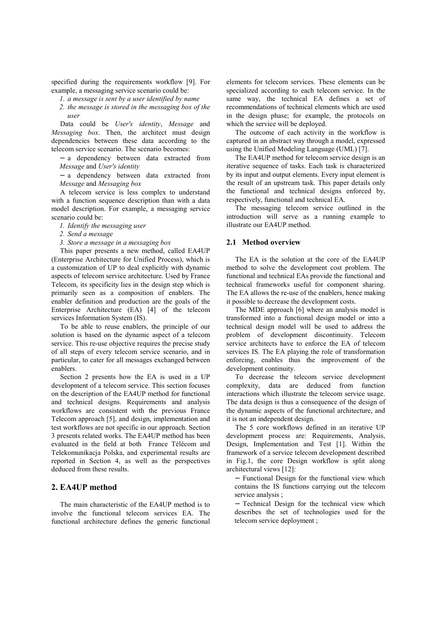specified during the requirements workflow [9]. For example, a messaging service scenario could be:

1. a message is sent by a user identified by name

2. the message is stored in the messaging box of the user

Data could be User's identity, Message and Messaging box. Then, the architect must design dependencies between these data according to the telecom service scenario. The scenario becomes:

− a dependency between data extracted from Message and User's identity

− a dependency between data extracted from Message and Messaging box

A telecom service is less complex to understand with a function sequence description than with a data model description. For example, a messaging service scenario could be:

1. Identify the messaging user

2. Send a message

3. Store a message in a messaging box

This paper presents a new method, called EA4UP (Enterprise Architecture for Unified Process), which is a customization of UP to deal explicitly with dynamic aspects of telecom service architecture. Used by France Telecom, its specificity lies in the design step which is primarily seen as a composition of enablers. The enabler definition and production are the goals of the Enterprise Architecture (EA) [4] of the telecom services Information System (IS).

To be able to reuse enablers, the principle of our solution is based on the dynamic aspect of a telecom service. This re-use objective requires the precise study of all steps of every telecom service scenario, and in particular, to cater for all messages exchanged between enablers.

Section 2 presents how the EA is used in a UP development of a telecom service. This section focuses on the description of the EA4UP method for functional and technical designs. Requirements and analysis workflows are consistent with the previous France Telecom approach [5], and design, implementation and test workflows are not specific in our approach. Section 3 presents related works. The EA4UP method has been evaluated in the field at both France Télécom and Telekomunikacja Polska, and experimental results are reported in Section 4, as well as the perspectives deduced from these results.

# 2. EA4UP method

The main characteristic of the EA4UP method is to involve the functional telecom services EA. The functional architecture defines the generic functional elements for telecom services. These elements can be specialized according to each telecom service. In the same way, the technical EA defines a set of recommendations of technical elements which are used in the design phase; for example, the protocols on which the service will be deployed.

The outcome of each activity in the workflow is captured in an abstract way through a model, expressed using the Unified Modeling Language (UML) [7].

The EA4UP method for telecom service design is an iterative sequence of tasks. Each task is characterized by its input and output elements. Every input element is the result of an upstream task. This paper details only the functional and technical designs enforced by, respectively, functional and technical EA.

The messaging telecom service outlined in the introduction will serve as a running example to illustrate our EA4UP method.

# 2.1 Method overview

The EA is the solution at the core of the EA4UP method to solve the development cost problem. The functional and technical EAs provide the functional and technical frameworks useful for component sharing. The EA allows the re-use of the enablers, hence making it possible to decrease the development costs.

The MDE approach [6] where an analysis model is transformed into a functional design model or into a technical design model will be used to address the problem of development discontinuity. Telecom service architects have to enforce the EA of telecom services IS. The EA playing the role of transformation enforcing, enables thus the improvement of the development continuity.

To decrease the telecom service development complexity, data are deduced from function interactions which illustrate the telecom service usage. The data design is thus a consequence of the design of the dynamic aspects of the functional architecture, and it is not an independent design.

The 5 core workflows defined in an iterative UP development process are: Requirements, Analysis, Design, Implementation and Test [1]. Within the framework of a service telecom development described in Fig.1, the core Design workflow is split along architectural views [12]:

− Functional Design for the functional view which contains the IS functions carrying out the telecom service analysis ;

− Technical Design for the technical view which describes the set of technologies used for the telecom service deployment ;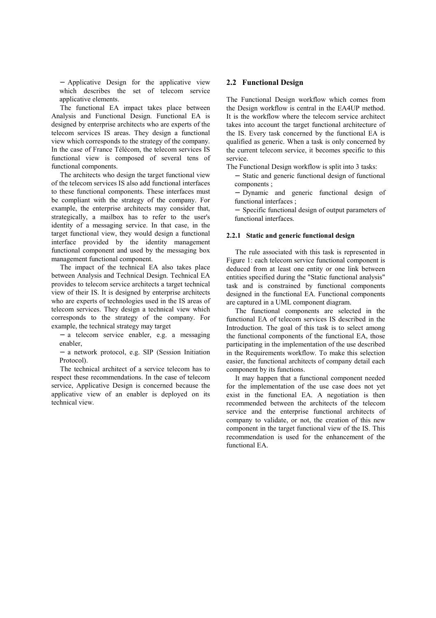− Applicative Design for the applicative view which describes the set of telecom service applicative elements.

The functional EA impact takes place between Analysis and Functional Design. Functional EA is designed by enterprise architects who are experts of the telecom services IS areas. They design a functional view which corresponds to the strategy of the company. In the case of France Télécom, the telecom services IS functional view is composed of several tens of functional components.

The architects who design the target functional view of the telecom services IS also add functional interfaces to these functional components. These interfaces must be compliant with the strategy of the company. For example, the enterprise architects may consider that, strategically, a mailbox has to refer to the user's identity of a messaging service. In that case, in the target functional view, they would design a functional interface provided by the identity management functional component and used by the messaging box management functional component.

The impact of the technical EA also takes place between Analysis and Technical Design. Technical EA provides to telecom service architects a target technical view of their IS. It is designed by enterprise architects who are experts of technologies used in the IS areas of telecom services. They design a technical view which corresponds to the strategy of the company. For example, the technical strategy may target

− a telecom service enabler, e.g. a messaging enabler,

− a network protocol, e.g. SIP (Session Initiation Protocol).

The technical architect of a service telecom has to respect these recommendations. In the case of telecom service, Applicative Design is concerned because the applicative view of an enabler is deployed on its technical view.

## 2.2 Functional Design

The Functional Design workflow which comes from the Design workflow is central in the EA4UP method. It is the workflow where the telecom service architect takes into account the target functional architecture of the IS. Every task concerned by the functional EA is qualified as generic. When a task is only concerned by the current telecom service, it becomes specific to this service.

The Functional Design workflow is split into 3 tasks:

− Static and generic functional design of functional components ;

− Dynamic and generic functional design of functional interfaces ;

− Specific functional design of output parameters of functional interfaces.

#### 2.2.1 Static and generic functional design

The rule associated with this task is represented in Figure 1: each telecom service functional component is deduced from at least one entity or one link between entities specified during the "Static functional analysis" task and is constrained by functional components designed in the functional EA. Functional components are captured in a UML component diagram.

The functional components are selected in the functional EA of telecom services IS described in the Introduction. The goal of this task is to select among the functional components of the functional EA, those participating in the implementation of the use described in the Requirements workflow. To make this selection easier, the functional architects of company detail each component by its functions.

It may happen that a functional component needed for the implementation of the use case does not yet exist in the functional EA. A negotiation is then recommended between the architects of the telecom service and the enterprise functional architects of company to validate, or not, the creation of this new component in the target functional view of the IS. This recommendation is used for the enhancement of the functional EA.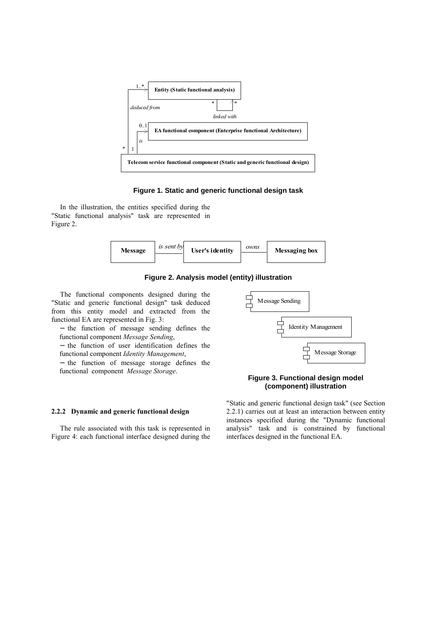

#### **Figure 1. Static and generic functional design task**

In the illustration, the entities specified during the "Static functional analysis" task are represented in Figure 2.





The functional components designed during the "Static and generic functional design" task deduced from this entity model and extracted from the functional EA are represented in Fig. 3:

− the function of message sending defines the functional component Message Sending,

− the function of user identification defines the functional component Identity Management,

− the function of message storage defines the functional component Message Storage.

#### 2.2.2 Dynamic and generic functional design

The rule associated with this task is represented in Figure 4: each functional interface designed during the



# **Figure 3. Functional design model (component) illustration**

"Static and generic functional design task" (see Section 2.2.1) carries out at least an interaction between entity instances specified during the "Dynamic functional analysis" task and is constrained by functional interfaces designed in the functional EA.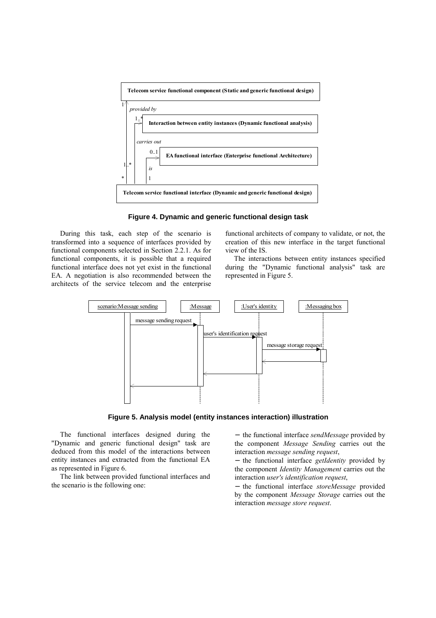

**Figure 4. Dynamic and generic functional design task** 

During this task, each step of the scenario is transformed into a sequence of interfaces provided by functional components selected in Section 2.2.1. As for functional components, it is possible that a required functional interface does not yet exist in the functional EA. A negotiation is also recommended between the architects of the service telecom and the enterprise

functional architects of company to validate, or not, the creation of this new interface in the target functional view of the IS.

The interactions between entity instances specified during the "Dynamic functional analysis" task are represented in Figure 5.



**Figure 5. Analysis model (entity instances interaction) illustration** 

The functional interfaces designed during the "Dynamic and generic functional design" task are deduced from this model of the interactions between entity instances and extracted from the functional EA as represented in Figure 6.

The link between provided functional interfaces and the scenario is the following one:

− the functional interface sendMessage provided by the component Message Sending carries out the interaction message sending request,

− the functional interface *getIdentity* provided by the component Identity Management carries out the interaction user's identification request,

− the functional interface storeMessage provided by the component Message Storage carries out the interaction message store request.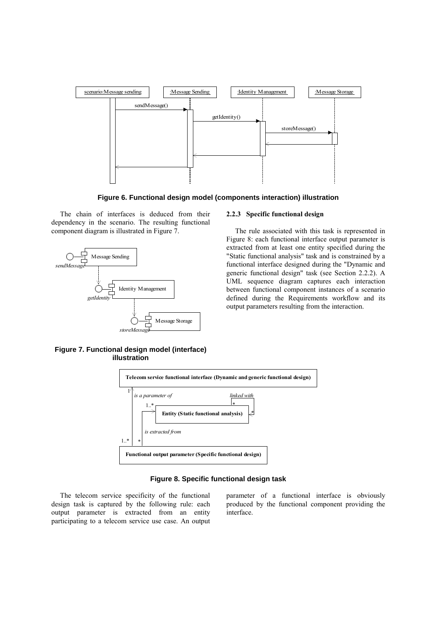

**Figure 6. Functional design model (components interaction) illustration** 

The chain of interfaces is deduced from their dependency in the scenario. The resulting functional component diagram is illustrated in Figure 7.



**Figure 7. Functional design model (interface) illustration** 



**Figure 8. Specific functional design task** 

The telecom service specificity of the functional design task is captured by the following rule: each output parameter is extracted from an entity participating to a telecom service use case. An output parameter of a functional interface is obviously produced by the functional component providing the interface.

#### 2.2.3 Specific functional design

The rule associated with this task is represented in Figure 8: each functional interface output parameter is extracted from at least one entity specified during the "Static functional analysis" task and is constrained by a functional interface designed during the "Dynamic and generic functional design" task (see Section 2.2.2). A UML sequence diagram captures each interaction between functional component instances of a scenario defined during the Requirements workflow and its output parameters resulting from the interaction.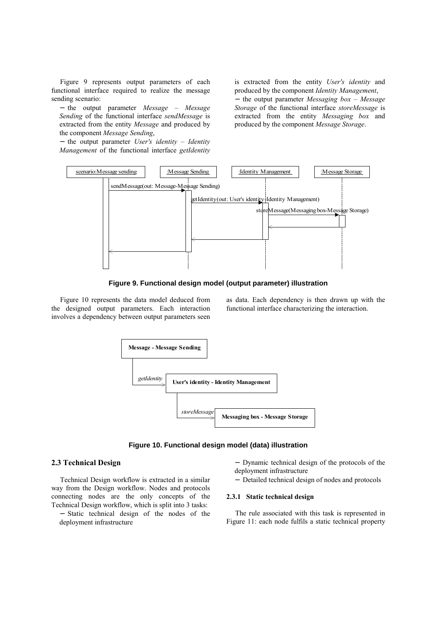Figure 9 represents output parameters of each functional interface required to realize the message sending scenario:

− the output parameter Message – Message Sending of the functional interface sendMessage is extracted from the entity Message and produced by the component Message Sending,

− the output parameter User's identity – Identity Management of the functional interface getIdentity

is extracted from the entity User's identity and produced by the component Identity Management, − the output parameter Messaging box – Message Storage of the functional interface storeMessage is extracted from the entity Messaging box and produced by the component Message Storage.



**Figure 9. Functional design model (output parameter) illustration** 

Figure 10 represents the data model deduced from the designed output parameters. Each interaction involves a dependency between output parameters seen as data. Each dependency is then drawn up with the functional interface characterizing the interaction.



**Figure 10. Functional design model (data) illustration** 

# 2.3 Technical Design

Technical Design workflow is extracted in a similar way from the Design workflow. Nodes and protocols connecting nodes are the only concepts of the Technical Design workflow, which is split into 3 tasks:

− Static technical design of the nodes of the deployment infrastructure

- − Dynamic technical design of the protocols of the deployment infrastructure
- − Detailed technical design of nodes and protocols

#### 2.3.1 Static technical design

The rule associated with this task is represented in Figure 11: each node fulfils a static technical property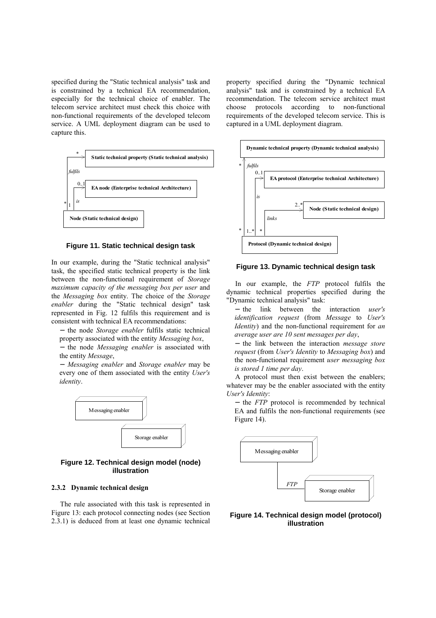specified during the "Static technical analysis" task and is constrained by a technical EA recommendation, especially for the technical choice of enabler. The telecom service architect must check this choice with non-functional requirements of the developed telecom service. A UML deployment diagram can be used to capture this.



**Figure 11. Static technical design task** 

In our example, during the "Static technical analysis" task, the specified static technical property is the link between the non-functional requirement of Storage maximum capacity of the messaging box per user and the Messaging box entity. The choice of the Storage enabler during the "Static technical design" task represented in Fig. 12 fulfils this requirement and is consistent with technical EA recommendations:

− the node Storage enabler fulfils static technical property associated with the entity Messaging box,

− the node Messaging enabler is associated with the entity Message,

− Messaging enabler and Storage enabler may be every one of them associated with the entity User's identity.



#### **Figure 12. Technical design model (node) illustration**

#### 2.3.2 Dynamic technical design

The rule associated with this task is represented in Figure 13: each protocol connecting nodes (see Section 2.3.1) is deduced from at least one dynamic technical

property specified during the "Dynamic technical analysis" task and is constrained by a technical EA recommendation. The telecom service architect must choose protocols according to non-functional requirements of the developed telecom service. This is captured in a UML deployment diagram.



**Figure 13. Dynamic technical design task** 

In our example, the FTP protocol fulfils the dynamic technical properties specified during the "Dynamic technical analysis" task:

− the link between the interaction user's identification request (from Message to User's Identity) and the non-functional requirement for an average user are 10 sent messages per day,

− the link between the interaction message store request (from User's Identity to Messaging box) and the non-functional requirement user messaging box is stored 1 time per day.

A protocol must then exist between the enablers; whatever may be the enabler associated with the entity User's Identity:

− the FTP protocol is recommended by technical EA and fulfils the non-functional requirements (see Figure 14).



**Figure 14. Technical design model (protocol) illustration**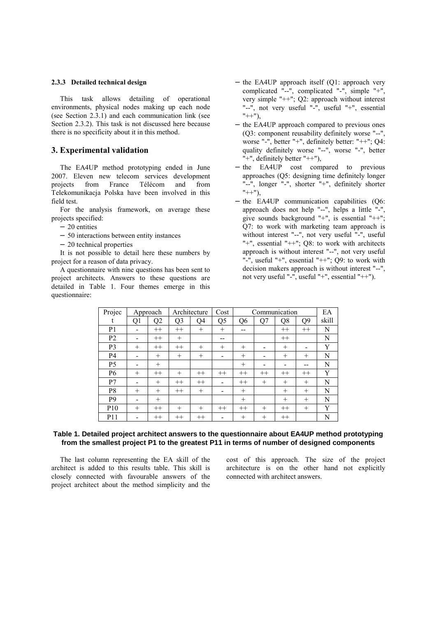#### 2.3.3 Detailed technical design

This task allows detailing of operational environments, physical nodes making up each node (see Section 2.3.1) and each communication link (see Section 2.3.2). This task is not discussed here because there is no specificity about it in this method.

# 3. Experimental validation

The EA4UP method prototyping ended in June 2007. Eleven new telecom services development projects from France Télécom and from Telekomunikacja Polska have been involved in this field test.

For the analysis framework, on average these projects specified:

- − 20 entities
- − 50 interactions between entity instances
- − 20 technical properties

It is not possible to detail here these numbers by project for a reason of data privacy.

A questionnaire with nine questions has been sent to project architects. Answers to these questions are detailed in Table 1. Four themes emerge in this questionnaire:

- − the EA4UP approach itself (Q1: approach very complicated "--", complicated "-", simple "+", very simple "++"; Q2: approach without interest "--", not very useful "-", useful "+", essential  $"++"$ ).
- − the EA4UP approach compared to previous ones (Q3: component reusability definitely worse "--", worse "-", better "+", definitely better: " $++$ "; Q4: quality definitely worse "--", worse "-", better  $"$ +", definitely better " $++$ "),
- − the EA4UP cost compared to previous approaches (Q5: designing time definitely longer "--", longer "-", shorter "+", definitely shorter  $"++"$
- the EA4UP communication capabilities (Q6: approach does not help "--", helps a little "-", give sounds background "+", is essential "++"; Q7: to work with marketing team approach is without interest "--", not very useful "-", useful "+", essential "++"; Q8: to work with architects approach is without interest "--", not very useful "-", useful "+", essential "++";  $Q9$ : to work with decision makers approach is without interest "--", not very useful "-", useful "+", essential "++").

| Projec          | Approach                 |        | Architecture |        | Cost   | Communication |                              |        |        | EA    |
|-----------------|--------------------------|--------|--------------|--------|--------|---------------|------------------------------|--------|--------|-------|
|                 | Q1                       | O2     | Q3           | O4     | Q5     | Q6            | Q7                           | Q8     | Q9     | skill |
| P <sub>1</sub>  | -                        | $++$   | $++$         | $^{+}$ | $^{+}$ | --            |                              | $++$   | $++$   | N     |
| P <sub>2</sub>  | $\overline{\phantom{a}}$ | $++$   | $+$          |        | --     |               |                              | $++$   |        | N     |
| P <sub>3</sub>  | $+$                      | $++$   | $++$         | $+$    | $+$    | $^{+}$        | $\qquad \qquad \blacksquare$ | $^{+}$ | -      | Y     |
| <b>P4</b>       | $\overline{\phantom{a}}$ | $^{+}$ | $+$          | $^{+}$ |        | $^{+}$        | -                            | $^{+}$ | $^{+}$ | N     |
| P <sub>5</sub>  | -                        | $+$    |              |        |        | $+$           | -                            |        | --     | N     |
| P <sub>6</sub>  | $+$                      | $++$   | $+$          | $++$   | $++$   | $++$          | $++$                         | $++$   | $++$   | Y     |
| P7              | $\overline{\phantom{a}}$ | $^{+}$ | $++$         | $++$   |        | $++$          | $+$                          | $^{+}$ | $^{+}$ | N     |
| P <sub>8</sub>  | $^{+}$                   | $^{+}$ | $++$         | $^{+}$ |        | $^{+}$        |                              | $^{+}$ | $^{+}$ | N     |
| P <sub>9</sub>  |                          | $+$    |              |        |        | $^{+}$        |                              | $^{+}$ | $^{+}$ | N     |
| P <sub>10</sub> | $+$                      | $++$   | $+$          | $^{+}$ | $++$   | $++$          | $+$                          | $++$   | $^{+}$ | Y     |
| P <sub>11</sub> |                          | $++$   | $++$         | $++$   |        | $^{+}$        | $+$                          | $++$   |        | N     |

## **Table 1. Detailed project architect answers to the questionnaire about EA4UP method prototyping from the smallest project P1 to the greatest P11 in terms of number of designed components**

The last column representing the EA skill of the architect is added to this results table. This skill is closely connected with favourable answers of the project architect about the method simplicity and the cost of this approach. The size of the project architecture is on the other hand not explicitly connected with architect answers.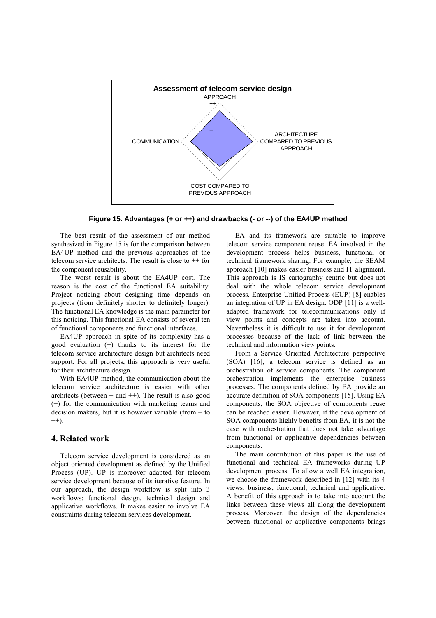

**Figure 15. Advantages (+ or ++) and drawbacks (- or --) of the EA4UP method** 

The best result of the assessment of our method synthesized in Figure 15 is for the comparison between EA4UP method and the previous approaches of the telecom service architects. The result is close to  $++$  for the component reusability.

The worst result is about the EA4UP cost. The reason is the cost of the functional EA suitability. Project noticing about designing time depends on projects (from definitely shorter to definitely longer). The functional EA knowledge is the main parameter for this noticing. This functional EA consists of several ten of functional components and functional interfaces.

EA4UP approach in spite of its complexity has a good evaluation (+) thanks to its interest for the telecom service architecture design but architects need support. For all projects, this approach is very useful for their architecture design.

With EA4UP method, the communication about the telecom service architecture is easier with other architects (between  $+$  and  $++$ ). The result is also good (+) for the communication with marketing teams and decision makers, but it is however variable (from – to  $(++)$ .

# 4. Related work

Telecom service development is considered as an object oriented development as defined by the Unified Process (UP). UP is moreover adapted for telecom service development because of its iterative feature. In our approach, the design workflow is split into 3 workflows: functional design, technical design and applicative workflows. It makes easier to involve EA constraints during telecom services development.

EA and its framework are suitable to improve telecom service component reuse. EA involved in the development process helps business, functional or technical framework sharing. For example, the SEAM approach [10] makes easier business and IT alignment. This approach is IS cartography centric but does not deal with the whole telecom service development process. Enterprise Unified Process (EUP) [8] enables an integration of UP in EA design. ODP [11] is a welladapted framework for telecommunications only if view points and concepts are taken into account. Nevertheless it is difficult to use it for development processes because of the lack of link between the technical and information view points.

From a Service Oriented Architecture perspective (SOA) [16], a telecom service is defined as an orchestration of service components. The component orchestration implements the enterprise business processes. The components defined by EA provide an accurate definition of SOA components [15]. Using EA components, the SOA objective of components reuse can be reached easier. However, if the development of SOA components highly benefits from EA, it is not the case with orchestration that does not take advantage from functional or applicative dependencies between components.

The main contribution of this paper is the use of functional and technical EA frameworks during UP development process. To allow a well EA integration, we choose the framework described in [12] with its 4 views: business, functional, technical and applicative. A benefit of this approach is to take into account the links between these views all along the development process. Moreover, the design of the dependencies between functional or applicative components brings